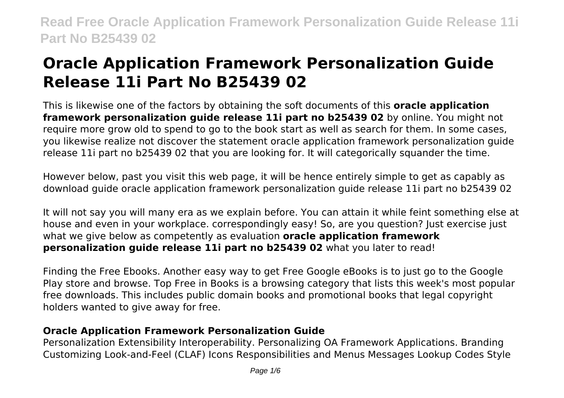# **Oracle Application Framework Personalization Guide Release 11i Part No B25439 02**

This is likewise one of the factors by obtaining the soft documents of this **oracle application framework personalization guide release 11i part no b25439 02** by online. You might not require more grow old to spend to go to the book start as well as search for them. In some cases, you likewise realize not discover the statement oracle application framework personalization guide release 11i part no b25439 02 that you are looking for. It will categorically squander the time.

However below, past you visit this web page, it will be hence entirely simple to get as capably as download guide oracle application framework personalization guide release 11i part no b25439 02

It will not say you will many era as we explain before. You can attain it while feint something else at house and even in your workplace. correspondingly easy! So, are you question? Just exercise just what we give below as competently as evaluation **oracle application framework personalization guide release 11i part no b25439 02** what you later to read!

Finding the Free Ebooks. Another easy way to get Free Google eBooks is to just go to the Google Play store and browse. Top Free in Books is a browsing category that lists this week's most popular free downloads. This includes public domain books and promotional books that legal copyright holders wanted to give away for free.

# **Oracle Application Framework Personalization Guide**

Personalization Extensibility Interoperability. Personalizing OA Framework Applications. Branding Customizing Look-and-Feel (CLAF) Icons Responsibilities and Menus Messages Lookup Codes Style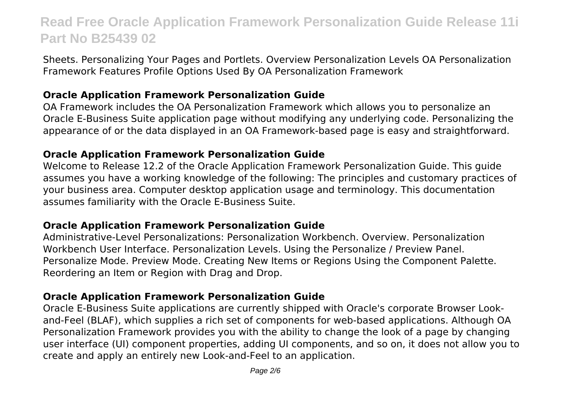Sheets. Personalizing Your Pages and Portlets. Overview Personalization Levels OA Personalization Framework Features Profile Options Used By OA Personalization Framework

### **Oracle Application Framework Personalization Guide**

OA Framework includes the OA Personalization Framework which allows you to personalize an Oracle E-Business Suite application page without modifying any underlying code. Personalizing the appearance of or the data displayed in an OA Framework-based page is easy and straightforward.

#### **Oracle Application Framework Personalization Guide**

Welcome to Release 12.2 of the Oracle Application Framework Personalization Guide. This guide assumes you have a working knowledge of the following: The principles and customary practices of your business area. Computer desktop application usage and terminology. This documentation assumes familiarity with the Oracle E-Business Suite.

### **Oracle Application Framework Personalization Guide**

Administrative-Level Personalizations: Personalization Workbench. Overview. Personalization Workbench User Interface. Personalization Levels. Using the Personalize / Preview Panel. Personalize Mode. Preview Mode. Creating New Items or Regions Using the Component Palette. Reordering an Item or Region with Drag and Drop.

### **Oracle Application Framework Personalization Guide**

Oracle E-Business Suite applications are currently shipped with Oracle's corporate Browser Lookand-Feel (BLAF), which supplies a rich set of components for web-based applications. Although OA Personalization Framework provides you with the ability to change the look of a page by changing user interface (UI) component properties, adding UI components, and so on, it does not allow you to create and apply an entirely new Look-and-Feel to an application.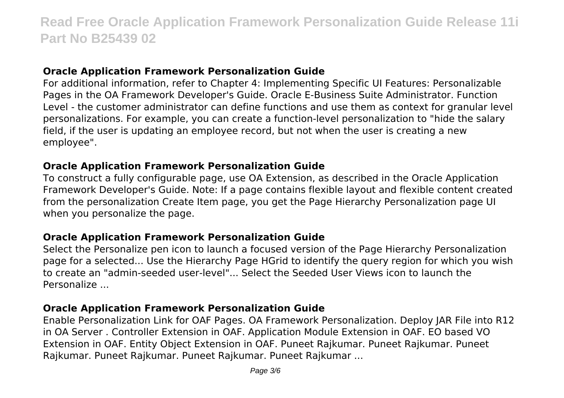### **Oracle Application Framework Personalization Guide**

For additional information, refer to Chapter 4: Implementing Specific UI Features: Personalizable Pages in the OA Framework Developer's Guide. Oracle E-Business Suite Administrator. Function Level - the customer administrator can define functions and use them as context for granular level personalizations. For example, you can create a function-level personalization to "hide the salary field, if the user is updating an employee record, but not when the user is creating a new employee".

#### **Oracle Application Framework Personalization Guide**

To construct a fully configurable page, use OA Extension, as described in the Oracle Application Framework Developer's Guide. Note: If a page contains flexible layout and flexible content created from the personalization Create Item page, you get the Page Hierarchy Personalization page UI when you personalize the page.

#### **Oracle Application Framework Personalization Guide**

Select the Personalize pen icon to launch a focused version of the Page Hierarchy Personalization page for a selected... Use the Hierarchy Page HGrid to identify the query region for which you wish to create an "admin-seeded user-level"... Select the Seeded User Views icon to launch the Personalize ...

### **Oracle Application Framework Personalization Guide**

Enable Personalization Link for OAF Pages. OA Framework Personalization. Deploy JAR File into R12 in OA Server . Controller Extension in OAF. Application Module Extension in OAF. EO based VO Extension in OAF. Entity Object Extension in OAF. Puneet Rajkumar. Puneet Rajkumar. Puneet Rajkumar. Puneet Rajkumar. Puneet Rajkumar. Puneet Rajkumar ...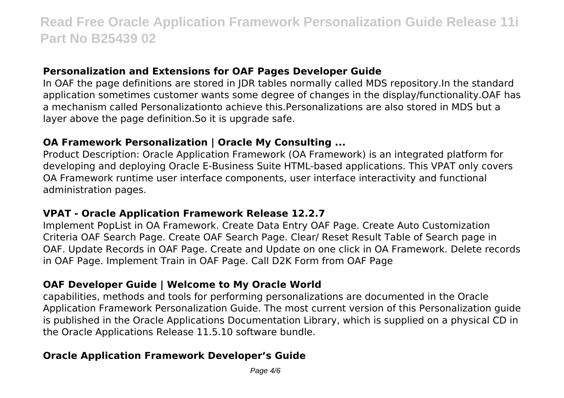### **Personalization and Extensions for OAF Pages Developer Guide**

In OAF the page definitions are stored in JDR tables normally called MDS repository.In the standard application sometimes customer wants some degree of changes in the display/functionality.OAF has a mechanism called Personalizationto achieve this.Personalizations are also stored in MDS but a layer above the page definition.So it is upgrade safe.

### **OA Framework Personalization | Oracle My Consulting ...**

Product Description: Oracle Application Framework (OA Framework) is an integrated platform for developing and deploying Oracle E-Business Suite HTML-based applications. This VPAT only covers OA Framework runtime user interface components, user interface interactivity and functional administration pages.

### **VPAT - Oracle Application Framework Release 12.2.7**

Implement PopList in OA Framework. Create Data Entry OAF Page. Create Auto Customization Criteria OAF Search Page. Create OAF Search Page. Clear/ Reset Result Table of Search page in OAF. Update Records in OAF Page. Create and Update on one click in OA Framework. Delete records in OAF Page. Implement Train in OAF Page. Call D2K Form from OAF Page

# **OAF Developer Guide | Welcome to My Oracle World**

capabilities, methods and tools for performing personalizations are documented in the Oracle Application Framework Personalization Guide. The most current version of this Personalization guide is published in the Oracle Applications Documentation Library, which is supplied on a physical CD in the Oracle Applications Release 11.5.10 software bundle.

# **Oracle Application Framework Developer's Guide**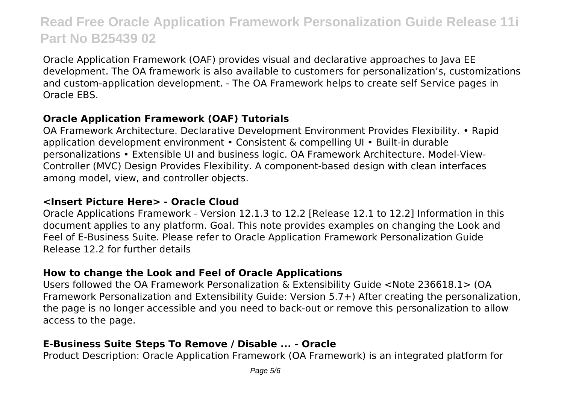Oracle Application Framework (OAF) provides visual and declarative approaches to Java EE development. The OA framework is also available to customers for personalization's, customizations and custom-application development. - The OA Framework helps to create self Service pages in Oracle EBS.

# **Oracle Application Framework (OAF) Tutorials**

OA Framework Architecture. Declarative Development Environment Provides Flexibility. • Rapid application development environment • Consistent & compelling UI • Built-in durable personalizations • Extensible UI and business logic. OA Framework Architecture. Model-View-Controller (MVC) Design Provides Flexibility. A component-based design with clean interfaces among model, view, and controller objects.

### **<Insert Picture Here> - Oracle Cloud**

Oracle Applications Framework - Version 12.1.3 to 12.2 [Release 12.1 to 12.2] Information in this document applies to any platform. Goal. This note provides examples on changing the Look and Feel of E-Business Suite. Please refer to Oracle Application Framework Personalization Guide Release 12.2 for further details

# **How to change the Look and Feel of Oracle Applications**

Users followed the OA Framework Personalization & Extensibility Guide <Note 236618.1> (OA Framework Personalization and Extensibility Guide: Version 5.7+) After creating the personalization, the page is no longer accessible and you need to back-out or remove this personalization to allow access to the page.

# **E-Business Suite Steps To Remove / Disable ... - Oracle**

Product Description: Oracle Application Framework (OA Framework) is an integrated platform for